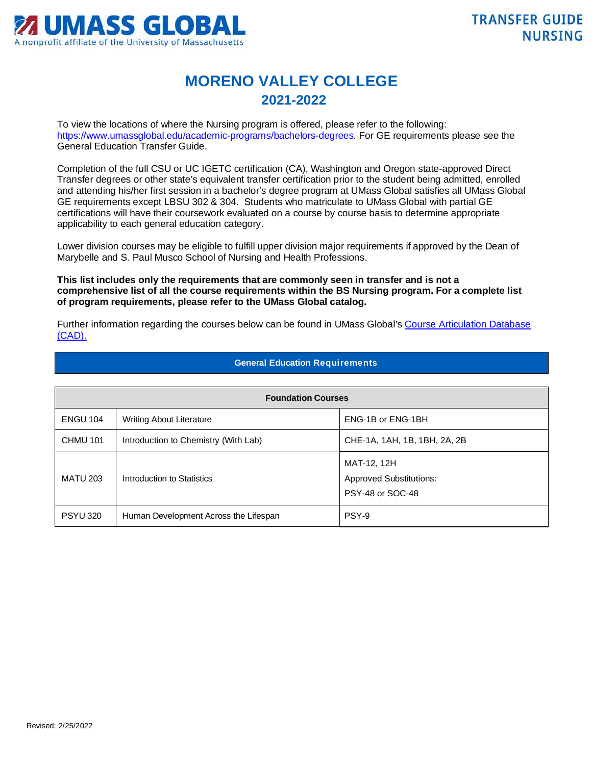

## **MORENO VALLEY COLLEGE 2021-2022**

To view the locations of where the Nursing program is offered, please refer to the following: [https://www.umassglobal.edu/academic-programs/bachelors-degrees.](https://www.umassglobal.edu/academic-programs/bachelors-degrees) For GE requirements please see the General Education Transfer Guide.

Completion of the full CSU or UC IGETC certification (CA), Washington and Oregon state-approved Direct Transfer degrees or other state's equivalent transfer certification prior to the student being admitted, enrolled and attending his/her first session in a bachelor's degree program at UMass Global satisfies all UMass Global GE requirements except LBSU 302 & 304. Students who matriculate to UMass Global with partial GE certifications will have their coursework evaluated on a course by course basis to determine appropriate applicability to each general education category.

Lower division courses may be eligible to fulfill upper division major requirements if approved by the Dean of Marybelle and S. Paul Musco School of Nursing and Health Professions.

**This list includes only the requirements that are commonly seen in transfer and is not a comprehensive list of all the course requirements within the BS Nursing program. For a complete list of program requirements, please refer to the UMass Global catalog.**

Further information regarding the courses below can be found in UMass Global'[s Course Articulation Database](http://services.umassglobal.edu/studentservices/TransferCredit/)  [\(CAD\).](http://services.umassglobal.edu/studentservices/TransferCredit/) 

| <b>Foundation Courses</b> |                                       |                                                                   |  |
|---------------------------|---------------------------------------|-------------------------------------------------------------------|--|
| <b>ENGU 104</b>           | Writing About Literature              | ENG-1B or ENG-1BH                                                 |  |
| <b>CHMU 101</b>           | Introduction to Chemistry (With Lab)  | CHE-1A, 1AH, 1B, 1BH, 2A, 2B                                      |  |
| <b>MATU 203</b>           | Introduction to Statistics            | MAT-12, 12H<br><b>Approved Substitutions:</b><br>PSY-48 or SOC-48 |  |
| <b>PSYU 320</b>           | Human Development Across the Lifespan | PSY-9                                                             |  |

## **General Education Requirements**